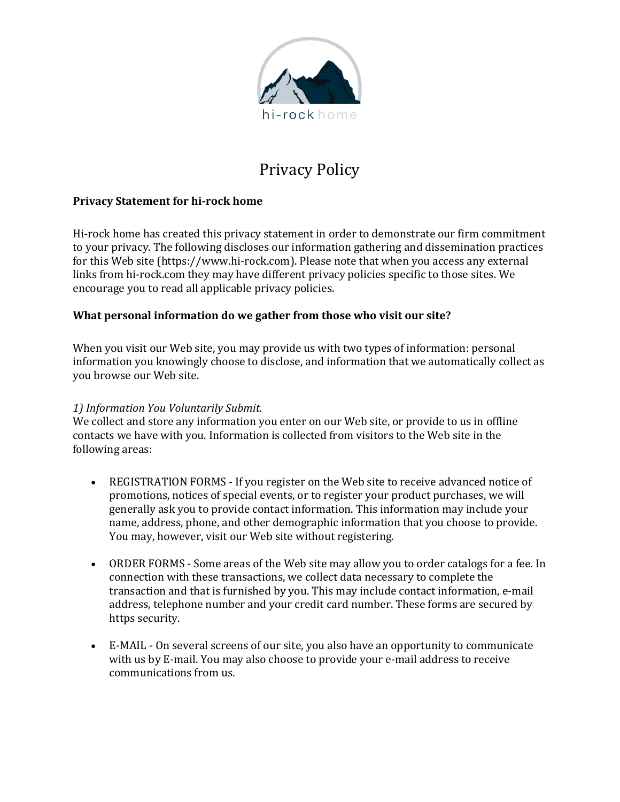

# Privacy Policy

### **Privacy Statement for hi-rock home**

Hi-rock home has created this privacy statement in order to demonstrate our firm commitment to your privacy. The following discloses our information gathering and dissemination practices for this Web site (https://www.hi-rock.com). Please note that when you access any external links from hi-rock.com they may have different privacy policies specific to those sites. We encourage you to read all applicable privacy policies.

#### **What personal information do we gather from those who visit our site?**

When you visit our Web site, you may provide us with two types of information: personal information you knowingly choose to disclose, and information that we automatically collect as you browse our Web site.

#### *1) Information You Voluntarily Submit.*

We collect and store any information you enter on our Web site, or provide to us in offline contacts we have with you. Information is collected from visitors to the Web site in the following areas:

- REGISTRATION FORMS If you register on the Web site to receive advanced notice of promotions, notices of special events, or to register your product purchases, we will generally ask you to provide contact information. This information may include your name, address, phone, and other demographic information that you choose to provide. You may, however, visit our Web site without registering.
- ORDER FORMS Some areas of the Web site may allow you to order catalogs for a fee. In connection with these transactions, we collect data necessary to complete the transaction and that is furnished by you. This may include contact information, e-mail address, telephone number and your credit card number. These forms are secured by https security.
- E-MAIL On several screens of our site, you also have an opportunity to communicate with us by E-mail. You may also choose to provide your e-mail address to receive communications from us.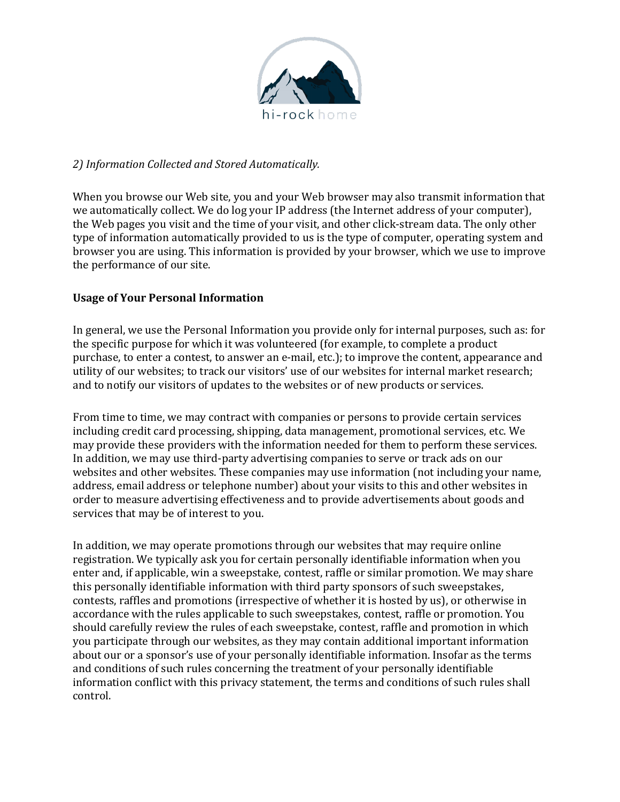

#### *2) Information Collected and Stored Automatically.*

When you browse our Web site, you and your Web browser may also transmit information that we automatically collect. We do log your IP address (the Internet address of your computer), the Web pages you visit and the time of your visit, and other click-stream data. The only other type of information automatically provided to us is the type of computer, operating system and browser you are using. This information is provided by your browser, which we use to improve the performance of our site.

## **Usage of Your Personal Information**

In general, we use the Personal Information you provide only for internal purposes, such as: for the specific purpose for which it was volunteered (for example, to complete a product purchase, to enter a contest, to answer an e-mail, etc.); to improve the content, appearance and utility of our websites; to track our visitors' use of our websites for internal market research; and to notify our visitors of updates to the websites or of new products or services.

From time to time, we may contract with companies or persons to provide certain services including credit card processing, shipping, data management, promotional services, etc. We may provide these providers with the information needed for them to perform these services. In addition, we may use third-party advertising companies to serve or track ads on our websites and other websites. These companies may use information (not including your name, address, email address or telephone number) about your visits to this and other websites in order to measure advertising effectiveness and to provide advertisements about goods and services that may be of interest to you.

In addition, we may operate promotions through our websites that may require online registration. We typically ask you for certain personally identifiable information when you enter and, if applicable, win a sweepstake, contest, raffle or similar promotion. We may share this personally identifiable information with third party sponsors of such sweepstakes, contests, raffles and promotions (irrespective of whether it is hosted by us), or otherwise in accordance with the rules applicable to such sweepstakes, contest, raffle or promotion. You should carefully review the rules of each sweepstake, contest, raffle and promotion in which you participate through our websites, as they may contain additional important information about our or a sponsor's use of your personally identifiable information. Insofar as the terms and conditions of such rules concerning the treatment of your personally identifiable information conflict with this privacy statement, the terms and conditions of such rules shall control.